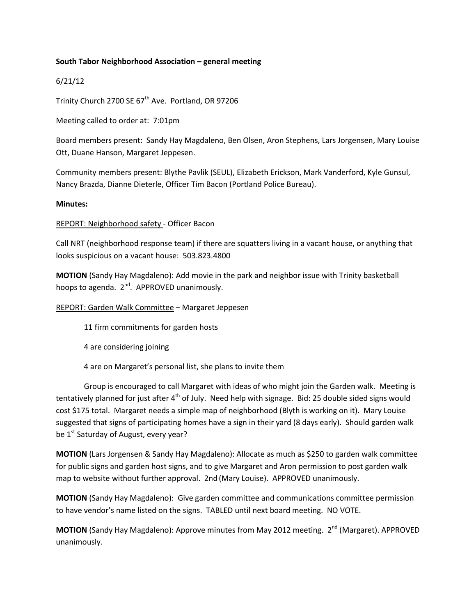# **South Tabor Neighborhood Association – general meeting**

# 6/21/12

Trinity Church 2700 SE  $67<sup>th</sup>$  Ave. Portland, OR 97206

Meeting called to order at: 7:01pm

Board members present: Sandy Hay Magdaleno, Ben Olsen, Aron Stephens, Lars Jorgensen, Mary Louise Ott, Duane Hanson, Margaret Jeppesen.

Community members present: Blythe Pavlik (SEUL), Elizabeth Erickson, Mark Vanderford, Kyle Gunsul, Nancy Brazda, Dianne Dieterle, Officer Tim Bacon (Portland Police Bureau).

#### **Minutes:**

# REPORT: Neighborhood safety - Officer Bacon

Call NRT (neighborhood response team) if there are squatters living in a vacant house, or anything that looks suspicious on a vacant house: 503.823.4800

**MOTION** (Sandy Hay Magdaleno): Add movie in the park and neighbor issue with Trinity basketball hoops to agenda. 2<sup>nd</sup>. APPROVED unanimously.

# REPORT: Garden Walk Committee – Margaret Jeppesen

11 firm commitments for garden hosts

4 are considering joining

4 are on Margaret's personal list, she plans to invite them

Group is encouraged to call Margaret with ideas of who might join the Garden walk. Meeting is tentatively planned for just after 4<sup>th</sup> of July. Need help with signage. Bid: 25 double sided signs would cost \$175 total. Margaret needs a simple map of neighborhood (Blyth is working on it). Mary Louise suggested that signs of participating homes have a sign in their yard (8 days early). Should garden walk be 1<sup>st</sup> Saturday of August, every year?

**MOTION** (Lars Jorgensen & Sandy Hay Magdaleno): Allocate as much as \$250 to garden walk committee for public signs and garden host signs, and to give Margaret and Aron permission to post garden walk map to website without further approval. 2nd (Mary Louise). APPROVED unanimously.

**MOTION** (Sandy Hay Magdaleno): Give garden committee and communications committee permission to have vendor's name listed on the signs. TABLED until next board meeting. NO VOTE.

**MOTION** (Sandy Hay Magdaleno): Approve minutes from May 2012 meeting. 2<sup>nd</sup> (Margaret). APPROVED unanimously.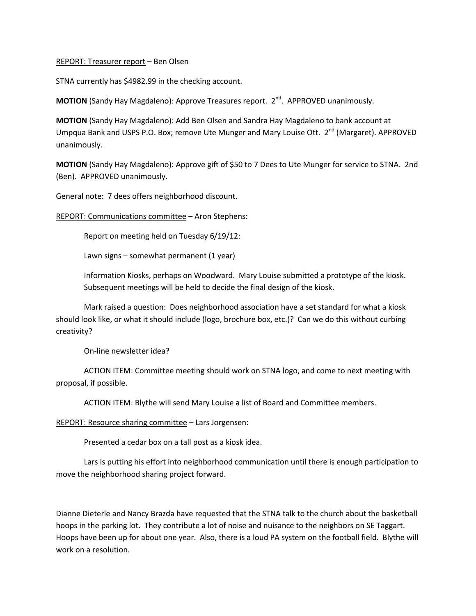#### REPORT: Treasurer report – Ben Olsen

STNA currently has \$4982.99 in the checking account.

**MOTION** (Sandy Hay Magdaleno): Approve Treasures report. 2<sup>nd</sup>. APPROVED unanimously.

**MOTION** (Sandy Hay Magdaleno): Add Ben Olsen and Sandra Hay Magdaleno to bank account at Umpqua Bank and USPS P.O. Box; remove Ute Munger and Mary Louise Ott. 2<sup>nd</sup> (Margaret). APPROVED unanimously.

**MOTION** (Sandy Hay Magdaleno): Approve gift of \$50 to 7 Dees to Ute Munger for service to STNA. 2nd (Ben). APPROVED unanimously.

General note: 7 dees offers neighborhood discount.

REPORT: Communications committee – Aron Stephens:

Report on meeting held on Tuesday 6/19/12:

Lawn signs – somewhat permanent (1 year)

Information Kiosks, perhaps on Woodward. Mary Louise submitted a prototype of the kiosk. Subsequent meetings will be held to decide the final design of the kiosk.

Mark raised a question: Does neighborhood association have a set standard for what a kiosk should look like, or what it should include (logo, brochure box, etc.)? Can we do this without curbing creativity?

On-line newsletter idea?

ACTION ITEM: Committee meeting should work on STNA logo, and come to next meeting with proposal, if possible.

ACTION ITEM: Blythe will send Mary Louise a list of Board and Committee members.

REPORT: Resource sharing committee – Lars Jorgensen:

Presented a cedar box on a tall post as a kiosk idea.

Lars is putting his effort into neighborhood communication until there is enough participation to move the neighborhood sharing project forward.

Dianne Dieterle and Nancy Brazda have requested that the STNA talk to the church about the basketball hoops in the parking lot. They contribute a lot of noise and nuisance to the neighbors on SE Taggart. Hoops have been up for about one year. Also, there is a loud PA system on the football field. Blythe will work on a resolution.